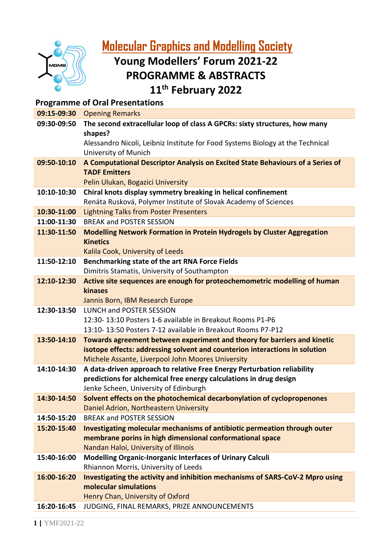

**[Molecular](https://www.mgms.org/WordPress/) Graphics and Modelling Society**

# **Young Modellers' Forum 2021-22 PROGRAMME & ABSTRACTS**

**11th February 2022**

| <b>Programme of Oral Presentations</b> |                                                                                                   |  |
|----------------------------------------|---------------------------------------------------------------------------------------------------|--|
| 09:15-09:30                            | <b>Opening Remarks</b>                                                                            |  |
| 09:30-09:50                            | The second extracellular loop of class A GPCRs: sixty structures, how many<br>shapes?             |  |
|                                        | Alessandro Nicoli, Leibniz Institute for Food Systems Biology at the Technical                    |  |
|                                        | University of Munich                                                                              |  |
| 09:50-10:10                            | A Computational Descriptor Analysis on Excited State Behaviours of a Series of                    |  |
|                                        | <b>TADF Emitters</b>                                                                              |  |
|                                        | Pelin Ulukan, Bogazici University                                                                 |  |
| 10:10-10:30                            | Chiral knots display symmetry breaking in helical confinement                                     |  |
|                                        | Renáta Rusková, Polymer Institute of Slovak Academy of Sciences                                   |  |
| 10:30-11:00                            | <b>Lightning Talks from Poster Presenters</b>                                                     |  |
| 11:00-11:30                            | <b>BREAK and POSTER SESSION</b>                                                                   |  |
| 11:30-11:50                            | <b>Modelling Network Formation in Protein Hydrogels by Cluster Aggregation</b><br><b>Kinetics</b> |  |
|                                        | Kalila Cook, University of Leeds                                                                  |  |
| 11:50-12:10                            | Benchmarking state of the art RNA Force Fields                                                    |  |
|                                        | Dimitris Stamatis, University of Southampton                                                      |  |
| 12:10-12:30                            | Active site sequences are enough for proteochemometric modelling of human                         |  |
|                                        | kinases                                                                                           |  |
|                                        | Jannis Born, IBM Research Europe                                                                  |  |
| 12:30-13:50                            | <b>LUNCH and POSTER SESSION</b>                                                                   |  |
|                                        | 12:30-13:10 Posters 1-6 available in Breakout Rooms P1-P6                                         |  |
|                                        | 13:10-13:50 Posters 7-12 available in Breakout Rooms P7-P12                                       |  |
| 13:50-14:10                            | Towards agreement between experiment and theory for barriers and kinetic                          |  |
|                                        | isotope effects: addressing solvent and counterion interactions in solution                       |  |
|                                        | Michele Assante, Liverpool John Moores University                                                 |  |
| 14:10-14:30                            | A data-driven approach to relative Free Energy Perturbation reliability                           |  |
|                                        | predictions for alchemical free energy calculations in drug design                                |  |
|                                        | Jenke Scheen, University of Edinburgh                                                             |  |
| 14:30-14:50                            | Solvent effects on the photochemical decarbonylation of cyclopropenones                           |  |
| 14:50-15:20                            | Daniel Adrion, Northeastern University<br><b>BREAK and POSTER SESSION</b>                         |  |
| 15:20-15:40                            | Investigating molecular mechanisms of antibiotic permeation through outer                         |  |
|                                        | membrane porins in high dimensional conformational space                                          |  |
|                                        | Nandan Haloi, University of Illinois                                                              |  |
| 15:40-16:00                            | <b>Modelling Organic-Inorganic Interfaces of Urinary Calculi</b>                                  |  |
|                                        | Rhiannon Morris, University of Leeds                                                              |  |
| 16:00-16:20                            | Investigating the activity and inhibition mechanisms of SARS-CoV-2 Mpro using                     |  |
|                                        | molecular simulations                                                                             |  |
|                                        | Henry Chan, University of Oxford                                                                  |  |
| 16:20-16:45                            | JUDGING, FINAL REMARKS, PRIZE ANNOUNCEMENTS                                                       |  |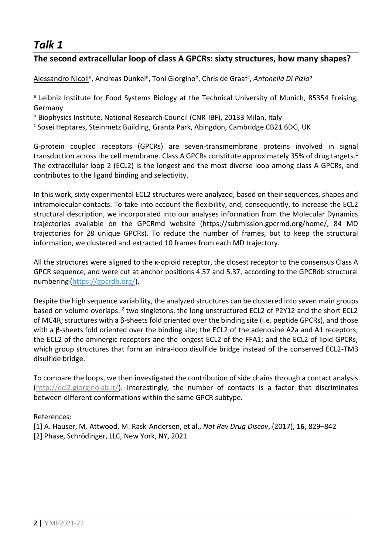### **The second extracellular loop of class A GPCRs: sixty structures, how many shapes?**

Alessandro Nicoli<sup>a</sup>, Andreas Dunkel<sup>a</sup>, Toni Giorgino<sup>b</sup>, Chris de Graaf<sup>c</sup>, Antonella Di Pizio<sup>a</sup>

<sup>a</sup> Leibniz Institute for Food Systems Biology at the Technical University of Munich, 85354 Freising, Germany

<sup>b</sup> Biophysics Institute, National Research Council (CNR-IBF), 20133 Milan, Italy

<sup>c</sup> Sosei Heptares, Steinmetz Building, Granta Park, Abingdon, Cambridge CB21 6DG, UK

G-protein coupled receptors (GPCRs) are seven-transmembrane proteins involved in signal transduction across the cell membrane. Class A GPCRs constitute approximately 35% of drug targets. $1$ The extracellular loop 2 (ECL2) is the longest and the most diverse loop among class A GPCRs, and contributes to the ligand binding and selectivity.

In this work, sixty experimental ECL2 structures were analyzed, based on their sequences, shapes and intramolecular contacts. To take into account the flexibility, and, consequently, to increase the ECL2 structural description, we incorporated into our analyses information from the Molecular Dynamics trajectories available on the GPCRmd website (https://submission.gpcrmd.org/home/, 84 MD trajectories for 28 unique GPCRs). To reduce the number of frames, but to keep the structural information, we clustered and extracted 10 frames from each MD trajectory.

All the structures were aligned to the κ-opioid receptor, the closest receptor to the consensus Class A GPCR sequence, and were cut at anchor positions 4.57 and 5.37, according to the GPCRdb structural numbering [\(https://gpcrdb.org/\)](https://gpcrdb.org/).

Despite the high sequence variability, the analyzed structures can be clustered into seven main groups based on volume overlaps: <sup>2</sup> two singletons, the long unstructured ECL2 of P2Y12 and the short ECL2 of MC4R; structures with a β-sheets fold oriented over the binding site (i.e. peptide GPCRs), and those with a β-sheets fold oriented over the binding site; the ECL2 of the adenosine A2a and A1 receptors; the ECL2 of the aminergic receptors and the longest ECL2 of the FFA1; and the ECL2 of lipid GPCRs, which group structures that form an intra-loop disulfide bridge instead of the conserved ECL2-TM3 disulfide bridge.

To compare the loops, we then investigated the contribution of side chains through a contact analysis [\(http://ecl2.giorginolab.it/\)](http://ecl2.giorginolab.it/). Interestingly, the number of contacts is a factor that discriminates between different conformations within the same GPCR subtype.

References:

[1] A. Hauser, M. Attwood, M. Rask-Andersen, et al., *Nat Rev Drug Discov*, (2017), **16**, 829–842 [2] Phase, Schrödinger, LLC, New York, NY, 2021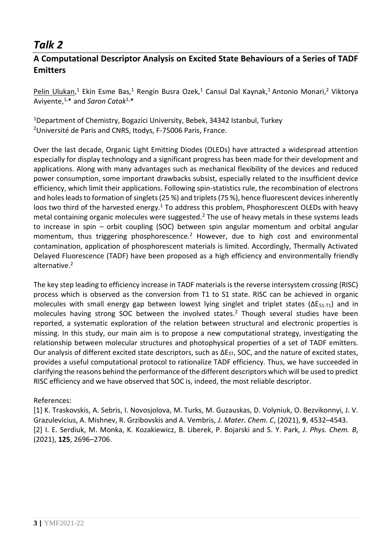### **A Computational Descriptor Analysis on Excited State Behaviours of a Series of TADF Emitters**

Pelin Ulukan,<sup>1</sup> Ekin Esme Bas,<sup>1</sup> Rengin Busra Ozek,<sup>1</sup> Cansul Dal Kaynak,<sup>1</sup> Antonio Monari,<sup>2</sup> Viktorya Aviyente,1,\* and *Saron Catak*1,\*

<sup>1</sup>Department of Chemistry, Bogazici University, Bebek, 34342 Istanbul, Turkey <sup>2</sup>Université de Paris and CNRS, Itodys, F-75006 Paris, France.

Over the last decade, Organic Light Emitting Diodes (OLEDs) have attracted a widespread attention especially for display technology and a significant progress has been made for their development and applications. Along with many advantages such as mechanical flexibility of the devices and reduced power consumption, some important drawbacks subsist, especially related to the insufficient device efficiency, which limit their applications. Following spin-statistics rule, the recombination of electrons and holes leads to formation of singlets (25 %) and triplets (75 %), hence fluorescent devices inherently loos two third of the harvested energy.<sup>1</sup> To address this problem, Phosphorescent OLEDs with heavy metal containing organic molecules were suggested.<sup>2</sup> The use of heavy metals in these systems leads to increase in spin – orbit coupling (SOC) between spin angular momentum and orbital angular momentum, thus triggering phosphorescence.<sup>2</sup> However, due to high cost and environmental contamination, application of phosphorescent materials is limited. Accordingly, Thermally Activated Delayed Fluorescence (TADF) have been proposed as a high efficiency and environmentally friendly alternative.<sup>2</sup>

The key step leading to efficiency increase in TADF materials is the reverse intersystem crossing (RISC) process which is observed as the conversion from T1 to S1 state. RISC can be achieved in organic molecules with small energy gap between lowest lying singlet and triplet states ( $\Delta E_{S1-T1}$ ) and in molecules having strong SOC between the involved states.<sup>2</sup> Though several studies have been reported, a systematic exploration of the relation between structural and electronic properties is missing. In this study, our main aim is to propose a new computational strategy, investigating the relationship between molecular structures and photophysical properties of a set of TADF emitters. Our analysis of different excited state descriptors, such as  $\Delta E_{ST}$ , SOC, and the nature of excited states, provides a useful computational protocol to rationalize TADF efficiency. Thus, we have succeeded in clarifying the reasons behind the performance of the different descriptors which will be used to predict RISC efficiency and we have observed that SOC is, indeed, the most reliable descriptor.

#### References:

[1] K. Traskovskis, A. Sebris, I. Novosjolova, M. Turks, M. Guzauskas, D. Volyniuk, O. Bezvikonnyi, J. V. Grazulevicius, A. Mishnev, R. Grzibovskis and A. Vembris, *J. Mater. Chem. C*, (2021), **9**, 4532–4543. [2] I. E. Serdiuk, M. Monka, K. Kozakiewicz, B. Liberek, P. Bojarski and S. Y. Park, *J. Phys. Chem. B*, (2021), **125**, 2696–2706.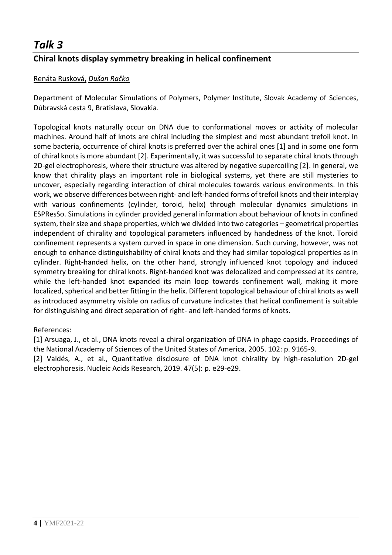## **Chiral knots display symmetry breaking in helical confinement**

#### Renáta Rusková, *Dušan Račko*

Department of Molecular Simulations of Polymers, Polymer Institute, Slovak Academy of Sciences, Dúbravská cesta 9, Bratislava, Slovakia.

Topological knots naturally occur on DNA due to conformational moves or activity of molecular machines. Around half of knots are chiral including the simplest and most abundant trefoil knot. In some bacteria, occurrence of chiral knots is preferred over the achiral ones [1] and in some one form of chiral knots is more abundant [2]. Experimentally, it was successful to separate chiral knots through 2D-gel electrophoresis, where their structure was altered by negative supercoiling [2]. In general, we know that chirality plays an important role in biological systems, yet there are still mysteries to uncover, especially regarding interaction of chiral molecules towards various environments. In this work, we observe differences between right- and left-handed forms of trefoil knots and their interplay with various confinements (cylinder, toroid, helix) through molecular dynamics simulations in ESPResSo. Simulations in cylinder provided general information about behaviour of knots in confined system, their size and shape properties, which we divided into two categories – geometrical properties independent of chirality and topological parameters influenced by handedness of the knot. Toroid confinement represents a system curved in space in one dimension. Such curving, however, was not enough to enhance distinguishability of chiral knots and they had similar topological properties as in cylinder. Right-handed helix, on the other hand, strongly influenced knot topology and induced symmetry breaking for chiral knots. Right-handed knot was delocalized and compressed at its centre, while the left-handed knot expanded its main loop towards confinement wall, making it more localized, spherical and better fitting in the helix. Different topological behaviour of chiral knots as well as introduced asymmetry visible on radius of curvature indicates that helical confinement is suitable for distinguishing and direct separation of right- and left-handed forms of knots.

#### References:

[1] Arsuaga, J., et al., DNA knots reveal a chiral organization of DNA in phage capsids. Proceedings of the National Academy of Sciences of the United States of America, 2005. 102: p. 9165-9.

[2] Valdés, A., et al., Quantitative disclosure of DNA knot chirality by high-resolution 2D-gel electrophoresis. Nucleic Acids Research, 2019. 47(5): p. e29-e29.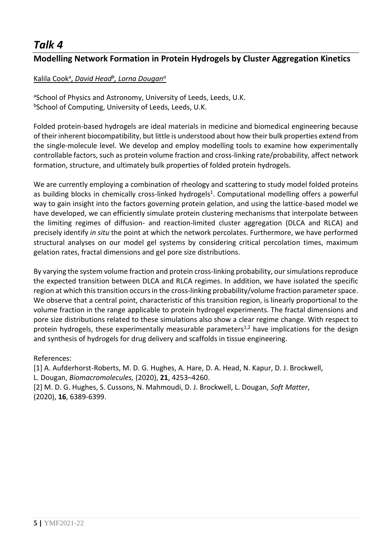### **Modelling Network Formation in Protein Hydrogels by Cluster Aggregation Kinetics**

### Kalila Cook<sup>a</sup> , *David Head<sup>b</sup> , Lorna Dougan<sup>a</sup>*

aSchool of Physics and Astronomy, University of Leeds, Leeds, U.K. bSchool of Computing, University of Leeds, Leeds, U.K.

Folded protein-based hydrogels are ideal materials in medicine and biomedical engineering because of their inherent biocompatibility, but little is understood about how their bulk properties extend from the single-molecule level. We develop and employ modelling tools to examine how experimentally controllable factors, such as protein volume fraction and cross-linking rate/probability, affect network formation, structure, and ultimately bulk properties of folded protein hydrogels.

We are currently employing a combination of rheology and scattering to study model folded proteins as building blocks in chemically cross-linked hydrogels<sup>1</sup>. Computational modelling offers a powerful way to gain insight into the factors governing protein gelation, and using the lattice-based model we have developed, we can efficiently simulate protein clustering mechanisms that interpolate between the limiting regimes of diffusion- and reaction-limited cluster aggregation (DLCA and RLCA) and precisely identify *in situ* the point at which the network percolates. Furthermore, we have performed structural analyses on our model gel systems by considering critical percolation times, maximum gelation rates, fractal dimensions and gel pore size distributions.

By varying the system volume fraction and protein cross-linking probability, our simulations reproduce the expected transition between DLCA and RLCA regimes. In addition, we have isolated the specific region at which this transition occurs in the cross-linking probability/volume fraction parameter space. We observe that a central point, characteristic of this transition region, is linearly proportional to the volume fraction in the range applicable to protein hydrogel experiments. The fractal dimensions and pore size distributions related to these simulations also show a clear regime change. With respect to protein hydrogels, these experimentally measurable parameters<sup>1,2</sup> have implications for the design and synthesis of hydrogels for drug delivery and scaffolds in tissue engineering.

#### References:

[1] A. Aufderhorst-Roberts, M. D. G. Hughes, A. Hare, D. A. Head, N. Kapur, D. J. Brockwell, L. Dougan, *Biomacromolecules,* (2020), **21**, 4253–4260.

[2] M. D. G. Hughes, S. Cussons, N. Mahmoudi, D. J. Brockwell, L. Dougan, *Soft Matter*, (2020), **16**, 6389-6399.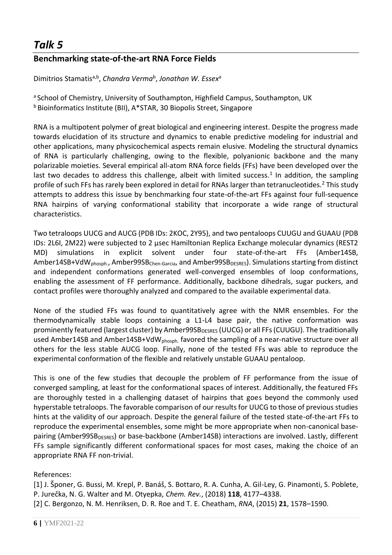### **Benchmarking state-of-the-art RNA Force Fields**

Dimitrios Stamatis<sup>a,b</sup>, *Chandra Verma<sup>b</sup>, Jonathan W. Essex<sup>a</sup>* 

a School of Chemistry, University of Southampton, Highfield Campus, Southampton, UK <sup>b</sup> Bioinformatics Institute (BII), A\*STAR, 30 Biopolis Street, Singapore

RNA is a multipotent polymer of great biological and engineering interest. Despite the progress made towards elucidation of its structure and dynamics to enable predictive modeling for industrial and other applications, many physicochemical aspects remain elusive. Modeling the structural dynamics of RNA is particularly challenging, owing to the flexible, polyanionic backbone and the many polarizable moieties. Several empirical all-atom RNA force fields (FFs) have been developed over the last two decades to address this challenge, albeit with limited success.<sup>1</sup> In addition, the sampling profile of such FFs has rarely been explored in detail for RNAs larger than tetranucleotides.<sup>2</sup> This study attempts to address this issue by benchmarking four state-of-the-art FFs against four full-sequence RNA hairpins of varying conformational stability that incorporate a wide range of structural characteristics.

Two tetraloops UUCG and AUCG (PDB IDs: 2KOC, 2Y95), and two pentaloops CUUGU and GUAAU (PDB IDs: 2L6I, 2M22) were subjected to 2 μsec Hamiltonian Replica Exchange molecular dynamics (REST2 MD) simulations in explicit solvent under four state-of-the-art FFs (Amber14SB, Amber14SB+VdW<sub>phosph.</sub>, Amber99SB<sub>Chen-Garcia</sub>, and Amber99SB<sub>DESRES</sub>). Simulations starting from distinct and independent conformations generated well-converged ensembles of loop conformations, enabling the assessment of FF performance. Additionally, backbone dihedrals, sugar puckers, and contact profiles were thoroughly analyzed and compared to the available experimental data.

None of the studied FFs was found to quantitatively agree with the NMR ensembles. For the thermodynamically stable loops containing a L1-L4 base pair, the native conformation was prominently featured (largest cluster) by Amber99SB<sub>DESRES</sub> (UUCG) or all FFs (CUUGU). The traditionally used Amber14SB and Amber14SB+VdW<sub>phosph</sub> favored the sampling of a near-native structure over all others for the less stable AUCG loop. Finally, none of the tested FFs was able to reproduce the experimental conformation of the flexible and relatively unstable GUAAU pentaloop.

This is one of the few studies that decouple the problem of FF performance from the issue of converged sampling, at least for the conformational spaces of interest. Additionally, the featured FFs are thoroughly tested in a challenging dataset of hairpins that goes beyond the commonly used hyperstable tetraloops. The favorable comparison of our results for UUCG to those of previous studies hints at the validity of our approach. Despite the general failure of the tested state-of-the-art FFs to reproduce the experimental ensembles, some might be more appropriate when non-canonical basepairing (Amber99SB<sub>DESRES</sub>) or base-backbone (Amber14SB) interactions are involved. Lastly, different FFs sample significantly different conformational spaces for most cases, making the choice of an appropriate RNA FF non-trivial.

References:

[1] J. Šponer, G. Bussi, M. Krepl, P. Banáš, S. Bottaro, R. A. Cunha, A. Gil-Ley, G. Pinamonti, S. Poblete, P. Jurečka, N. G. Walter and M. Otyepka, *Chem. Rev.*, (2018) **118**, 4177–4338. [2] C. Bergonzo, N. M. Henriksen, D. R. Roe and T. E. Cheatham, *RNA*, (2015) **21**, 1578–1590.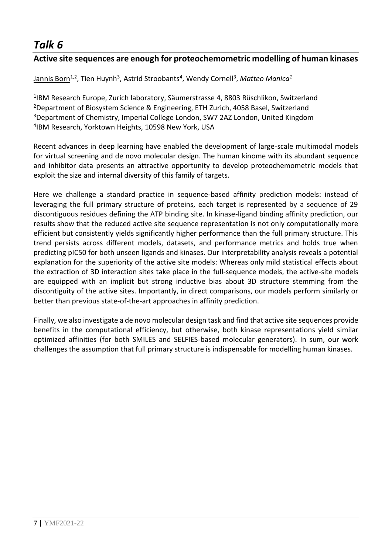### **Active site sequences are enough for proteochemometric modelling of human kinases**

#### Jannis Born1,2, Tien Huynh<sup>3</sup> , Astrid Stroobants<sup>4</sup> , Wendy Cornell<sup>3</sup> , *Matteo Manica<sup>1</sup>*

 IBM Research Europe, Zurich laboratory, Säumerstrasse 4, 8803 Rüschlikon, Switzerland Department of Biosystem Science & Engineering, ETH Zurich, 4058 Basel, Switzerland Department of Chemistry, Imperial College London, SW7 2AZ London, United Kingdom IBM Research, Yorktown Heights, 10598 New York, USA

Recent advances in deep learning have enabled the development of large-scale multimodal models for virtual screening and de novo molecular design. The human kinome with its abundant sequence and inhibitor data presents an attractive opportunity to develop proteochemometric models that exploit the size and internal diversity of this family of targets.

Here we challenge a standard practice in sequence-based affinity prediction models: instead of leveraging the full primary structure of proteins, each target is represented by a sequence of 29 discontiguous residues defining the ATP binding site. In kinase-ligand binding affinity prediction, our results show that the reduced active site sequence representation is not only computationally more efficient but consistently yields significantly higher performance than the full primary structure. This trend persists across different models, datasets, and performance metrics and holds true when predicting pIC50 for both unseen ligands and kinases. Our interpretability analysis reveals a potential explanation for the superiority of the active site models: Whereas only mild statistical effects about the extraction of 3D interaction sites take place in the full-sequence models, the active-site models are equipped with an implicit but strong inductive bias about 3D structure stemming from the discontiguity of the active sites. Importantly, in direct comparisons, our models perform similarly or better than previous state-of-the-art approaches in affinity prediction.

Finally, we also investigate a de novo molecular design task and find that active site sequences provide benefits in the computational efficiency, but otherwise, both kinase representations yield similar optimized affinities (for both SMILES and SELFIES-based molecular generators). In sum, our work challenges the assumption that full primary structure is indispensable for modelling human kinases.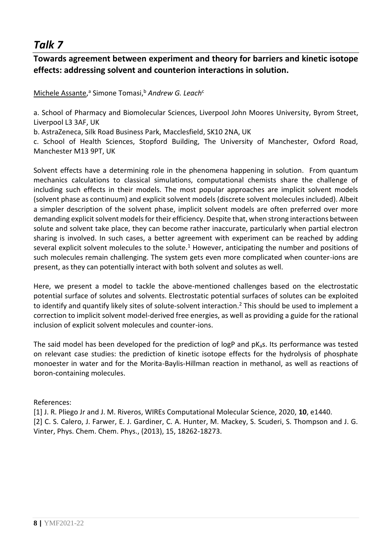### **Towards agreement between experiment and theory for barriers and kinetic isotope effects: addressing solvent and counterion interactions in solution.**

Michele Assante,<sup>a</sup> Simone Tomasi,<sup>b</sup> Andrew G. Leach<sup>c</sup>

a. School of Pharmacy and Biomolecular Sciences, Liverpool John Moores University, Byrom Street, Liverpool L3 3AF, UK

b. AstraZeneca, Silk Road Business Park, Macclesfield, SK10 2NA, UK

c. School of Health Sciences, Stopford Building, The University of Manchester, Oxford Road, Manchester M13 9PT, UK

Solvent effects have a determining role in the phenomena happening in solution. From quantum mechanics calculations to classical simulations, computational chemists share the challenge of including such effects in their models. The most popular approaches are implicit solvent models (solvent phase as continuum) and explicit solvent models (discrete solvent molecules included). Albeit a simpler description of the solvent phase, implicit solvent models are often preferred over more demanding explicit solvent models for their efficiency. Despite that, when strong interactions between solute and solvent take place, they can become rather inaccurate, particularly when partial electron sharing is involved. In such cases, a better agreement with experiment can be reached by adding several explicit solvent molecules to the solute.<sup>1</sup> However, anticipating the number and positions of such molecules remain challenging. The system gets even more complicated when counter-ions are present, as they can potentially interact with both solvent and solutes as well.

Here, we present a model to tackle the above-mentioned challenges based on the electrostatic potential surface of solutes and solvents. Electrostatic potential surfaces of solutes can be exploited to identify and quantify likely sites of solute-solvent interaction.<sup>2</sup> This should be used to implement a correction to implicit solvent model-derived free energies, as well as providing a guide for the rational inclusion of explicit solvent molecules and counter-ions.

The said model has been developed for the prediction of logP and  $pK<sub>a</sub>s$ . Its performance was tested on relevant case studies: the prediction of kinetic isotope effects for the hydrolysis of phosphate monoester in water and for the Morita-Baylis-Hillman reaction in methanol, as well as reactions of boron-containing molecules.

#### References:

[1] J. R. Pliego Jr and J. M. Riveros, WIREs Computational Molecular Science, 2020, **10**, e1440. [2] C. S. Calero, J. Farwer, E. J. Gardiner, C. A. Hunter, M. Mackey, S. Scuderi, S. Thompson and J. G. Vinter, Phys. Chem. Chem. Phys., (2013), 15, 18262-18273.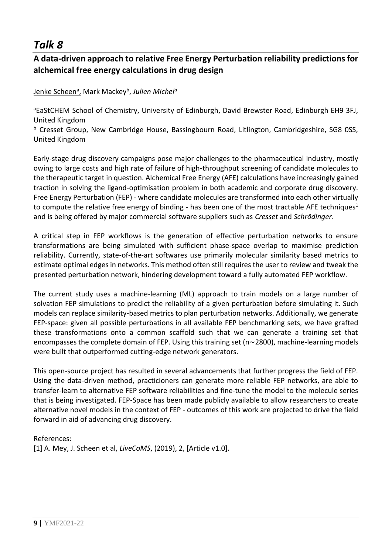### **A data-driven approach to relative Free Energy Perturbation reliability predictions for alchemical free energy calculations in drug design**

#### Jenke Scheen<sup>a</sup> , Mark Mackey<sup>b</sup> , *Julien Michel<sup>a</sup>*

aEaStCHEM School of Chemistry, University of Edinburgh, David Brewster Road, Edinburgh EH9 3FJ, United Kingdom

b Cresset Group, New Cambridge House, Bassingbourn Road, Litlington, Cambridgeshire, SG8 0SS, United Kingdom

Early-stage drug discovery campaigns pose major challenges to the pharmaceutical industry, mostly owing to large costs and high rate of failure of high-throughput screening of candidate molecules to the therapeutic target in question. Alchemical Free Energy (AFE) calculations have increasingly gained traction in solving the ligand-optimisation problem in both academic and corporate drug discovery. Free Energy Perturbation (FEP) - where candidate molecules are transformed into each other virtually to compute the relative free energy of binding - has been one of the most tractable AFE techniques<sup>1</sup> and is being offered by major commercial software suppliers such as *Cresset* and *Schrödinger*.

A critical step in FEP workflows is the generation of effective perturbation networks to ensure transformations are being simulated with sufficient phase-space overlap to maximise prediction reliability. Currently, state-of-the-art softwares use primarily molecular similarity based metrics to estimate optimal edges in networks. This method often still requires the user to review and tweak the presented perturbation network, hindering development toward a fully automated FEP workflow.

The current study uses a machine-learning (ML) approach to train models on a large number of solvation FEP simulations to predict the reliability of a given perturbation before simulating it. Such models can replace similarity-based metrics to plan perturbation networks. Additionally, we generate FEP-space: given all possible perturbations in all available FEP benchmarking sets, we have grafted these transformations onto a common scaffold such that we can generate a training set that encompasses the complete domain of FEP. Using this training set (n∼2800), machine-learning models were built that outperformed cutting-edge network generators.

This open-source project has resulted in several advancements that further progress the field of FEP. Using the data-driven method, practicioners can generate more reliable FEP networks, are able to transfer-learn to alternative FEP software reliabilities and fine-tune the model to the molecule series that is being investigated. FEP-Space has been made publicly available to allow researchers to create alternative novel models in the context of FEP - outcomes of this work are projected to drive the field forward in aid of advancing drug discovery.

References:

[1] A. Mey, J. Scheen et al, *LiveCoMS*, (2019), 2, [Article v1.0].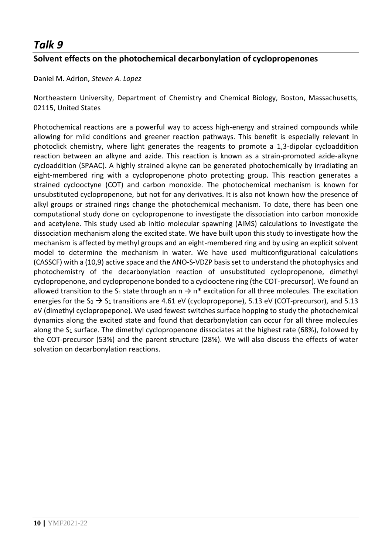### **Solvent effects on the photochemical decarbonylation of cyclopropenones**

Daniel M. Adrion, *Steven A. Lopez*

Northeastern University, Department of Chemistry and Chemical Biology, Boston, Massachusetts, 02115, United States

Photochemical reactions are a powerful way to access high-energy and strained compounds while allowing for mild conditions and greener reaction pathways. This benefit is especially relevant in photoclick chemistry, where light generates the reagents to promote a 1,3-dipolar cycloaddition reaction between an alkyne and azide. This reaction is known as a strain-promoted azide-alkyne cycloaddition (SPAAC). A highly strained alkyne can be generated photochemically by irradiating an eight-membered ring with a cyclopropenone photo protecting group. This reaction generates a strained cyclooctyne (COT) and carbon monoxide. The photochemical mechanism is known for unsubstituted cyclopropenone, but not for any derivatives. It is also not known how the presence of alkyl groups or strained rings change the photochemical mechanism. To date, there has been one computational study done on cyclopropenone to investigate the dissociation into carbon monoxide and acetylene. This study used ab initio molecular spawning (AIMS) calculations to investigate the dissociation mechanism along the excited state. We have built upon this study to investigate how the mechanism is affected by methyl groups and an eight-membered ring and by using an explicit solvent model to determine the mechanism in water. We have used multiconfigurational calculations (CASSCF) with a (10,9) active space and the ANO-S-VDZP basis set to understand the photophysics and photochemistry of the decarbonylation reaction of unsubstituted cyclopropenone, dimethyl cyclopropenone, and cyclopropenone bonded to a cyclooctene ring (the COT-precursor). We found an allowed transition to the S<sub>1</sub> state through an  $n \rightarrow n^*$  excitation for all three molecules. The excitation energies for the  $S_0 \rightarrow S_1$  transitions are 4.61 eV (cyclopropepone), 5.13 eV (COT-precursor), and 5.13 eV (dimethyl cyclopropepone). We used fewest switches surface hopping to study the photochemical dynamics along the excited state and found that decarbonylation can occur for all three molecules along the  $S_1$  surface. The dimethyl cyclopropenone dissociates at the highest rate (68%), followed by the COT-precursor (53%) and the parent structure (28%). We will also discuss the effects of water solvation on decarbonylation reactions.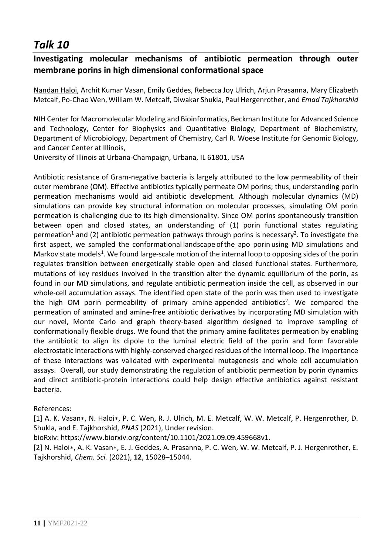### **Investigating molecular mechanisms of antibiotic permeation through outer membrane porins in high dimensional conformational space**

Nandan Haloi, Archit Kumar Vasan, Emily Geddes, Rebecca Joy Ulrich, Arjun Prasanna, Mary Elizabeth Metcalf, Po-Chao Wen, William W. Metcalf, Diwakar Shukla, Paul Hergenrother, and *Emad Tajkhorshid*

NIH Center for Macromolecular Modeling and Bioinformatics, Beckman Institute for Advanced Science and Technology, Center for Biophysics and Quantitative Biology, Department of Biochemistry, Department of Microbiology, Department of Chemistry, Carl R. Woese Institute for Genomic Biology, and Cancer Center at Illinois,

University of Illinois at Urbana-Champaign, Urbana, IL 61801, USA

Antibiotic resistance of Gram-negative bacteria is largely attributed to the low permeability of their outer membrane (OM). Effective antibiotics typically permeate OM porins; thus, understanding porin permeation mechanisms would aid antibiotic development. Although molecular dynamics (MD) simulations can provide key structural information on molecular processes, simulating OM porin permeation is challenging due to its high dimensionality. Since OM porins spontaneously transition between open and closed states, an understanding of (1) porin functional states regulating permeation<sup>1</sup> and (2) antibiotic permeation pathways through porins is necessary<sup>2</sup>. To investigate the first aspect, we sampled the conformational landscape ofthe apo porin using MD simulations and Markov state models<sup>1</sup>. We found large-scale motion of the internal loop to opposing sides of the porin regulates transition between energetically stable open and closed functional states. Furthermore, mutations of key residues involved in the transition alter the dynamic equilibrium of the porin, as found in our MD simulations, and regulate antibiotic permeation inside the cell, as observed in our whole-cell accumulation assays. The identified open state of the porin was then used to investigate the high OM porin permeability of primary amine-appended antibiotics<sup>2</sup>. We compared the permeation of aminated and amine-free antibiotic derivatives by incorporating MD simulation with our novel, Monte Carlo and graph theory-based algorithm designed to improve sampling of conformationally flexible drugs. We found that the primary amine facilitates permeation by enabling the antibiotic to align its dipole to the luminal electric field of the porin and form favorable electrostatic interactions with highly-conserved charged residues of the internal loop. The importance of these interactions was validated with experimental mutagenesis and whole cell accumulation assays. Overall, our study demonstrating the regulation of antibiotic permeation by porin dynamics and direct antibiotic-protein interactions could help design effective antibiotics against resistant bacteria.

#### References:

[1] A. K. Vasan∗, N. Haloi∗, P. C. Wen, R. J. Ulrich, M. E. Metcalf, W. W. Metcalf, P. Hergenrother, D. Shukla, and E. Tajkhorshid, *PNAS* (2021), Under revision.

bioRxiv: https://www.biorxiv.org/content/10.1101/2021.09.09.459668v1.

[2] N. Haloi∗, A. K. Vasan∗, E. J. Geddes, A. Prasanna, P. C. Wen, W. W. Metcalf, P. J. Hergenrother, E. Tajkhorshid, *Chem. Sci.* (2021), **12**, 15028–15044.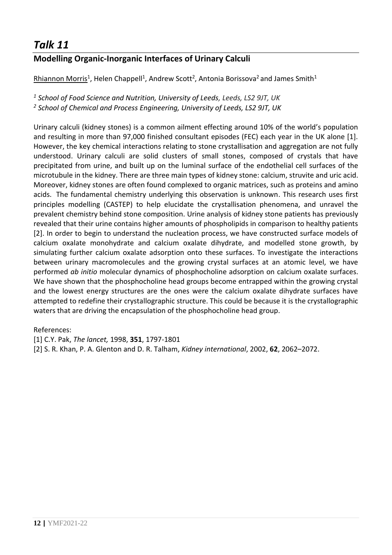### **Modelling Organic-Inorganic Interfaces of Urinary Calculi**

Rhiannon Morris<sup>1</sup>, Helen Chappell<sup>1</sup>, Andrew Scott<sup>2</sup>, Antonia Borissova<sup>2</sup> and James Smith<sup>1</sup>

*<sup>1</sup> School of Food Science and Nutrition, University of Leeds, Leeds, LS2 9JT, UK <sup>2</sup> School of Chemical and Process Engineering, University of Leeds, LS2 9JT, UK*

Urinary calculi (kidney stones) is a common ailment effecting around 10% of the world's population and resulting in more than 97,000 finished consultant episodes (FEC) each year in the UK alone [1]. However, the key chemical interactions relating to stone crystallisation and aggregation are not fully understood. Urinary calculi are solid clusters of small stones, composed of crystals that have precipitated from urine, and built up on the luminal surface of the endothelial cell surfaces of the microtubule in the kidney. There are three main types of kidney stone: calcium, struvite and uric acid. Moreover, kidney stones are often found complexed to organic matrices, such as proteins and amino acids. The fundamental chemistry underlying this observation is unknown. This research uses first principles modelling (CASTEP) to help elucidate the crystallisation phenomena, and unravel the prevalent chemistry behind stone composition. Urine analysis of kidney stone patients has previously revealed that their urine contains higher amounts of phospholipids in comparison to healthy patients [2]. In order to begin to understand the nucleation process, we have constructed surface models of calcium oxalate monohydrate and calcium oxalate dihydrate, and modelled stone growth, by simulating further calcium oxalate adsorption onto these surfaces. To investigate the interactions between urinary macromolecules and the growing crystal surfaces at an atomic level, we have performed *ab initio* molecular dynamics of phosphocholine adsorption on calcium oxalate surfaces. We have shown that the phosphocholine head groups become entrapped within the growing crystal and the lowest energy structures are the ones were the calcium oxalate dihydrate surfaces have attempted to redefine their crystallographic structure. This could be because it is the crystallographic waters that are driving the encapsulation of the phosphocholine head group.

References:

[1] C.Y. Pak, *The lancet,* 1998, **351**, 1797-1801

[2] S. R. Khan, P. A. Glenton and D. R. Talham, *Kidney international*, 2002, **62**, 2062–2072.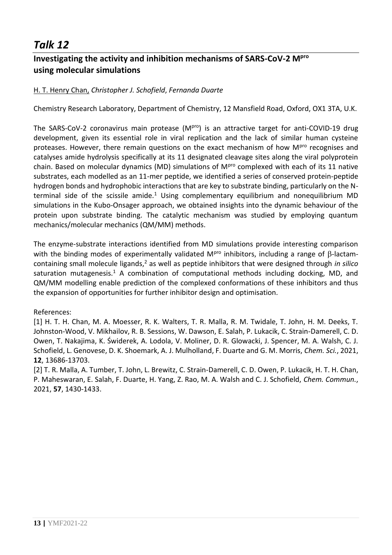### **Investigating the activity and inhibition mechanisms of SARS-CoV-2 Mpro using molecular simulations**

#### H. T. Henry Chan, *Christopher J. Schofield*, *Fernanda Duarte*

Chemistry Research Laboratory, Department of Chemistry, 12 Mansfield Road, Oxford, OX1 3TA, U.K.

The SARS-CoV-2 coronavirus main protease (MPro) is an attractive target for anti-COVID-19 drug development, given its essential role in viral replication and the lack of similar human cysteine proteases. However, there remain questions on the exact mechanism of how M<sup>pro</sup> recognises and catalyses amide hydrolysis specifically at its 11 designated cleavage sites along the viral polyprotein chain. Based on molecular dynamics (MD) simulations of M<sup>pro</sup> complexed with each of its 11 native substrates, each modelled as an 11-mer peptide, we identified a series of conserved protein-peptide hydrogen bonds and hydrophobic interactions that are key to substrate binding, particularly on the Nterminal side of the scissile amide.<sup>1</sup> Using complementary equilibrium and nonequilibrium MD simulations in the Kubo-Onsager approach, we obtained insights into the dynamic behaviour of the protein upon substrate binding. The catalytic mechanism was studied by employing quantum mechanics/molecular mechanics (QM/MM) methods.

The enzyme-substrate interactions identified from MD simulations provide interesting comparison with the binding modes of experimentally validated M<sup>pro</sup> inhibitors, including a range of  $\beta$ -lactamcontaining small molecule ligands,<sup>2</sup> as well as peptide inhibitors that were designed through *in silico* saturation mutagenesis.<sup>1</sup> A combination of computational methods including docking, MD, and QM/MM modelling enable prediction of the complexed conformations of these inhibitors and thus the expansion of opportunities for further inhibitor design and optimisation.

References:

[1] H. T. H. Chan, M. A. Moesser, R. K. Walters, T. R. Malla, R. M. Twidale, T. John, H. M. Deeks, T. Johnston-Wood, V. Mikhailov, R. B. Sessions, W. Dawson, E. Salah, P. Lukacik, C. Strain-Damerell, C. D. Owen, T. Nakajima, K. Świderek, A. Lodola, V. Moliner, D. R. Glowacki, J. Spencer, M. A. Walsh, C. J. Schofield, L. Genovese, D. K. Shoemark, A. J. Mulholland, F. Duarte and G. M. Morris, *Chem. Sci.*, 2021, **12**, 13686-13703.

[2] T. R. Malla, A. Tumber, T. John, L. Brewitz, C. Strain-Damerell, C. D. Owen, P. Lukacik, H. T. H. Chan, P. Maheswaran, E. Salah, F. Duarte, H. Yang, Z. Rao, M. A. Walsh and C. J. Schofield, *Chem. Commun.*, 2021, **57**, 1430-1433.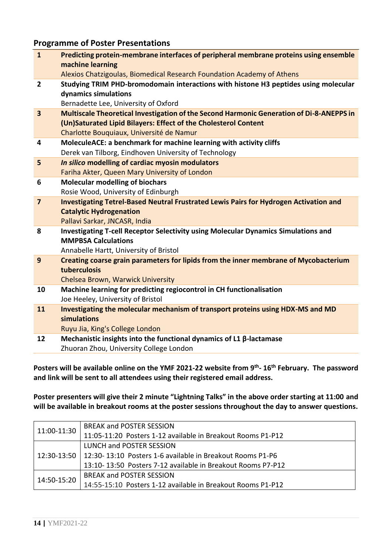#### **Programme of Poster Presentations**

| $\mathbf{1}$            | Predicting protein-membrane interfaces of peripheral membrane proteins using ensemble<br>machine learning<br>Alexios Chatzigoulas, Biomedical Research Foundation Academy of Athens |
|-------------------------|-------------------------------------------------------------------------------------------------------------------------------------------------------------------------------------|
|                         |                                                                                                                                                                                     |
| $\overline{2}$          | Studying TRIM PHD-bromodomain interactions with histone H3 peptides using molecular                                                                                                 |
|                         | dynamics simulations                                                                                                                                                                |
|                         | Bernadette Lee, University of Oxford                                                                                                                                                |
| $\overline{\mathbf{3}}$ | Multiscale Theoretical Investigation of the Second Harmonic Generation of Di-8-ANEPPS in                                                                                            |
|                         | (Un)Saturated Lipid Bilayers: Effect of the Cholesterol Content                                                                                                                     |
|                         | Charlotte Bouquiaux, Université de Namur                                                                                                                                            |
| $\overline{\mathbf{4}}$ | MoleculeACE: a benchmark for machine learning with activity cliffs                                                                                                                  |
|                         | Derek van Tilborg, Eindhoven University of Technology                                                                                                                               |
| 5                       | In silico modelling of cardiac myosin modulators                                                                                                                                    |
|                         | Fariha Akter, Queen Mary University of London                                                                                                                                       |
| 6                       | <b>Molecular modelling of biochars</b>                                                                                                                                              |
|                         | Rosie Wood, University of Edinburgh                                                                                                                                                 |
| $\overline{7}$          | Investigating Tetrel-Based Neutral Frustrated Lewis Pairs for Hydrogen Activation and                                                                                               |
|                         | <b>Catalytic Hydrogenation</b>                                                                                                                                                      |
|                         | Pallavi Sarkar, JNCASR, India                                                                                                                                                       |
| 8                       | Investigating T-cell Receptor Selectivity using Molecular Dynamics Simulations and                                                                                                  |
|                         | <b>MMPBSA Calculations</b>                                                                                                                                                          |
|                         | Annabelle Hartt, University of Bristol                                                                                                                                              |
| 9                       | Creating coarse grain parameters for lipids from the inner membrane of Mycobacterium                                                                                                |
|                         | tuberculosis                                                                                                                                                                        |
|                         | Chelsea Brown, Warwick University                                                                                                                                                   |
| 10                      | Machine learning for predicting regiocontrol in CH functionalisation                                                                                                                |
|                         | Joe Heeley, University of Bristol                                                                                                                                                   |
| 11                      | Investigating the molecular mechanism of transport proteins using HDX-MS and MD                                                                                                     |
|                         | simulations                                                                                                                                                                         |
|                         | Ruyu Jia, King's College London                                                                                                                                                     |
| 12                      | Mechanistic insights into the functional dynamics of L1 $\beta$ -lactamase                                                                                                          |
|                         | Zhuoran Zhou, University College London                                                                                                                                             |
|                         |                                                                                                                                                                                     |

**Posters will be available online on the YMF 2021-22 website from 9 th - 16 th February. The password and link will be sent to all attendees using their registered email address.**

**Poster presenters will give their 2 minute "Lightning Talks" in the above order starting at 11:00 and will be available in breakout rooms at the poster sessions throughout the day to answer questions.**

| 11:00-11:30 | <b>BREAK and POSTER SESSION</b>                                          |
|-------------|--------------------------------------------------------------------------|
|             | 11:05-11:20 Posters 1-12 available in Breakout Rooms P1-P12              |
|             | LUNCH and POSTER SESSION                                                 |
|             | 12:30-13:50   12:30- 13:10 Posters 1-6 available in Breakout Rooms P1-P6 |
|             | 13:10-13:50 Posters 7-12 available in Breakout Rooms P7-P12              |
| 14:50-15:20 | <b>BREAK and POSTER SESSION</b>                                          |
|             | 14:55-15:10 Posters 1-12 available in Breakout Rooms P1-P12              |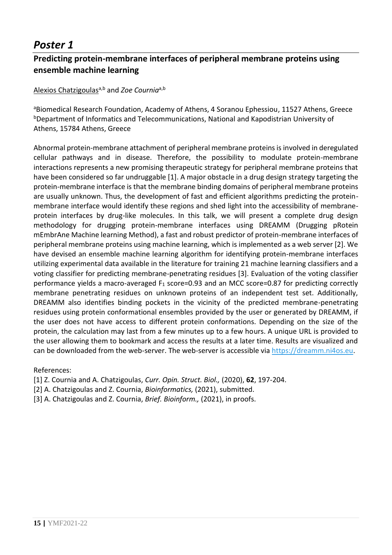### **Predicting protein-membrane interfaces of peripheral membrane proteins using ensemble machine learning**

#### Alexios Chatzigoulas<sup>a,b</sup> and *Zoe Cournig*<sup>a,b</sup>

aBiomedical Research Foundation, Academy of Athens, 4 Soranou Ephessiou, 11527 Athens, Greece bDepartment of Informatics and Telecommunications, National and Kapodistrian University of Athens, 15784 Athens, Greece

Abnormal protein-membrane attachment of peripheral membrane proteins is involved in deregulated cellular pathways and in disease. Therefore, the possibility to modulate protein-membrane interactions represents a new promising therapeutic strategy for peripheral membrane proteins that have been considered so far undruggable [1]. A major obstacle in a drug design strategy targeting the protein-membrane interface is that the membrane binding domains of peripheral membrane proteins are usually unknown. Thus, the development of fast and efficient algorithms predicting the proteinmembrane interface would identify these regions and shed light into the accessibility of membraneprotein interfaces by drug-like molecules. In this talk, we will present a complete drug design methodology for drugging protein-membrane interfaces using DREAMM (Drugging pRotein mEmbrAne Machine learning Method), a fast and robust predictor of protein-membrane interfaces of peripheral membrane proteins using machine learning, which is implemented as a web server [2]. We have devised an ensemble machine learning algorithm for identifying protein-membrane interfaces utilizing experimental data available in the literature for training 21 machine learning classifiers and a voting classifier for predicting membrane-penetrating residues [3]. Evaluation of the voting classifier performance yields a macro-averaged  $F_1$  score=0.93 and an MCC score=0.87 for predicting correctly membrane penetrating residues on unknown proteins of an independent test set. Additionally, DREAMM also identifies binding pockets in the vicinity of the predicted membrane-penetrating residues using protein conformational ensembles provided by the user or generated by DREAMM, if the user does not have access to different protein conformations. Depending on the size of the protein, the calculation may last from a few minutes up to a few hours. A unique URL is provided to the user allowing them to bookmark and access the results at a later time. Results are visualized and can be downloaded from the web-server. The web-server is accessible vi[a https://dreamm.ni4os.eu.](https://dreamm.ni4os.eu/)

- [1] Z. Cournia and A. Chatzigoulas, *Curr. Opin. Struct. Biol.,* (2020), **62**, 197-204.
- [2] A. Chatzigoulas and Z. Cournia, *Bioinformatics,* (2021), submitted.
- [3] A. Chatzigoulas and Z. Cournia, *Brief. Bioinform.,* (2021), in proofs.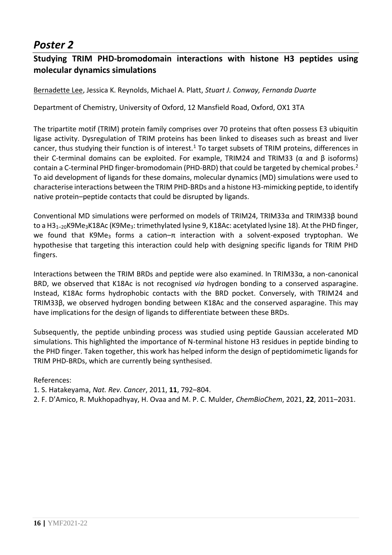### **Studying TRIM PHD-bromodomain interactions with histone H3 peptides using molecular dynamics simulations**

Bernadette Lee, Jessica K. Reynolds, Michael A. Platt, *Stuart J. Conway, Fernanda Duarte*

Department of Chemistry, University of Oxford, 12 Mansfield Road, Oxford, OX1 3TA

The tripartite motif (TRIM) protein family comprises over 70 proteins that often possess E3 ubiquitin ligase activity. Dysregulation of TRIM proteins has been linked to diseases such as breast and liver cancer, thus studying their function is of interest.<sup>1</sup> To target subsets of TRIM proteins, differences in their C-terminal domains can be exploited. For example, TRIM24 and TRIM33 (α and β isoforms) contain a C-terminal PHD finger-bromodomain (PHD-BRD) that could be targeted by chemical probes.<sup>2</sup> To aid development of ligands for these domains, molecular dynamics (MD) simulations were used to characterise interactions between the TRIM PHD-BRDs and a histone H3-mimicking peptide, to identify native protein–peptide contacts that could be disrupted by ligands.

Conventional MD simulations were performed on models of TRIM24, TRIM33α and TRIM33β bound to a H3<sub>1-20</sub>K9Me<sub>3</sub>K18Ac (K9Me<sub>3</sub>: trimethylated lysine 9, K18Ac: acetylated lysine 18). At the PHD finger, we found that K9Me<sub>3</sub> forms a cation– $\pi$  interaction with a solvent-exposed tryptophan. We hypothesise that targeting this interaction could help with designing specific ligands for TRIM PHD fingers.

Interactions between the TRIM BRDs and peptide were also examined. In TRIM33α, a non-canonical BRD, we observed that K18Ac is not recognised *via* hydrogen bonding to a conserved asparagine. Instead, K18Ac forms hydrophobic contacts with the BRD pocket. Conversely, with TRIM24 and TRIM33β, we observed hydrogen bonding between K18Ac and the conserved asparagine. This may have implications for the design of ligands to differentiate between these BRDs.

Subsequently, the peptide unbinding process was studied using peptide Gaussian accelerated MD simulations. This highlighted the importance of N-terminal histone H3 residues in peptide binding to the PHD finger. Taken together, this work has helped inform the design of peptidomimetic ligands for TRIM PHD-BRDs, which are currently being synthesised.

References:

1. S. Hatakeyama, *Nat. Rev. Cancer*, 2011, **11**, 792–804.

2. F. D'Amico, R. Mukhopadhyay, H. Ovaa and M. P. C. Mulder, *ChemBioChem*, 2021, **22**, 2011–2031.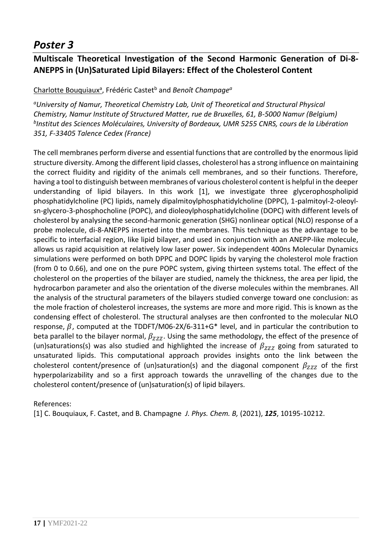### **Multiscale Theoretical Investigation of the Second Harmonic Generation of Di-8- ANEPPS in (Un)Saturated Lipid Bilayers: Effect of the Cholesterol Content**

#### Charlotte Bouquiaux<sup>a</sup> , Frédéric Castet<sup>b</sup> and *Benoît Champage<sup>a</sup>*

*<sup>a</sup>University of Namur, Theoretical Chemistry Lab, Unit of Theoretical and Structural Physical Chemistry, Namur Institute of Structured Matter, rue de Bruxelles, 61, B-5000 Namur (Belgium) b Institut des Sciences Moléculaires, University of Bordeaux, UMR 5255 CNRS, cours de la Libération 351, F-33405 Talence Cedex (France)*

The cell membranes perform diverse and essential functions that are controlled by the enormous lipid structure diversity. Among the different lipid classes, cholesterol has a strong influence on maintaining the correct fluidity and rigidity of the animals cell membranes, and so their functions. Therefore, having a tool to distinguish between membranes of various cholesterol content is helpful in the deeper understanding of lipid bilayers. In this work [1], we investigate three glycerophospholipid phosphatidylcholine (PC) lipids, namely dipalmitoylphosphatidylcholine (DPPC), 1-palmitoyl-2-oleoylsn-glycero-3-phosphocholine (POPC), and dioleoylphosphatidylcholine (DOPC) with different levels of cholesterol by analysing the second-harmonic generation (SHG) nonlinear optical (NLO) response of a probe molecule, di-8-ANEPPS inserted into the membranes. This technique as the advantage to be specific to interfacial region, like lipid bilayer, and used in conjunction with an ANEPP-like molecule, allows us rapid acquisition at relatively low laser power. Six independent 400ns Molecular Dynamics simulations were performed on both DPPC and DOPC lipids by varying the cholesterol mole fraction (from 0 to 0.66), and one on the pure POPC system, giving thirteen systems total. The effect of the cholesterol on the properties of the bilayer are studied, namely the thickness, the area per lipid, the hydrocarbon parameter and also the orientation of the diverse molecules within the membranes. All the analysis of the structural parameters of the bilayers studied converge toward one conclusion: as the mole fraction of cholesterol increases, the systems are more and more rigid. This is known as the condensing effect of cholesterol. The structural analyses are then confronted to the molecular NLO response,  $\beta$ , computed at the TDDFT/M06-2X/6-311+G\* level, and in particular the contribution to beta parallel to the bilayer normal,  $\beta_{ZZZ}$ . Using the same methodology, the effect of the presence of (un)saturations(s) was also studied and highlighted the increase of  $\beta_{ZZZ}$  going from saturated to unsaturated lipids. This computational approach provides insights onto the link between the cholesterol content/presence of (un)saturation(s) and the diagonal component  $\beta_{777}$  of the first hyperpolarizability and so a first approach towards the unravelling of the changes due to the cholesterol content/presence of (un)saturation(s) of lipid bilayers.

#### References:

[1] C. Bouquiaux, F. Castet, and B. Champagne *J. Phys. Chem. B,* (2021), *125*, 10195-10212.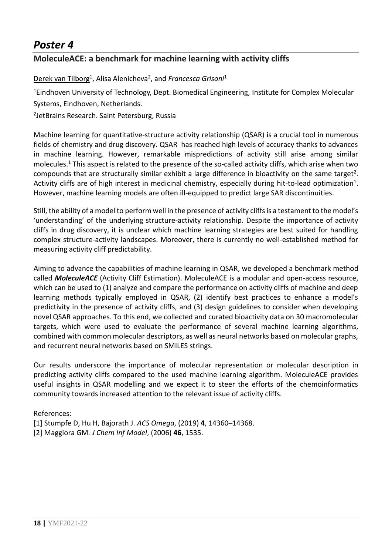### **MoleculeACE: a benchmark for machine learning with activity cliffs**

Derek van Tilborg<sup>1</sup>, Alisa Alenicheva<sup>2</sup>, and *Francesca Grisoni*<sup>1</sup>

<sup>1</sup>Eindhoven University of Technology, Dept. Biomedical Engineering, Institute for Complex Molecular Systems, Eindhoven, Netherlands.

2 JetBrains Research. Saint Petersburg, Russia

Machine learning for quantitative-structure activity relationship (QSAR) is a crucial tool in numerous fields of chemistry and drug discovery. QSAR has reached high levels of accuracy thanks to advances in machine learning. However, remarkable mispredictions of activity still arise among similar molecules.<sup>1</sup> This aspect is related to the presence of the so-called activity cliffs, which arise when two compounds that are structurally similar exhibit a large difference in bioactivity on the same target<sup>2</sup>. Activity cliffs are of high interest in medicinal chemistry, especially during hit-to-lead optimization<sup>1</sup>. However, machine learning models are often ill-equipped to predict large SAR discontinuities.

Still, the ability of a model to perform well in the presence of activity cliffs is a testament to the model's 'understanding' of the underlying structure-activity relationship. Despite the importance of activity cliffs in drug discovery, it is unclear which machine learning strategies are best suited for handling complex structure-activity landscapes. Moreover, there is currently no well-established method for measuring activity cliff predictability.

Aiming to advance the capabilities of machine learning in QSAR, we developed a benchmark method called *MoleculeACE* (Activity Cliff Estimation). MoleculeACE is a modular and open-access resource, which can be used to (1) analyze and compare the performance on activity cliffs of machine and deep learning methods typically employed in QSAR, (2) identify best practices to enhance a model's predictivity in the presence of activity cliffs, and (3) design guidelines to consider when developing novel QSAR approaches. To this end, we collected and curated bioactivity data on 30 macromolecular targets, which were used to evaluate the performance of several machine learning algorithms, combined with common molecular descriptors, as well as neural networks based on molecular graphs, and recurrent neural networks based on SMILES strings.

Our results underscore the importance of molecular representation or molecular description in predicting activity cliffs compared to the used machine learning algorithm. MoleculeACE provides useful insights in QSAR modelling and we expect it to steer the efforts of the chemoinformatics community towards increased attention to the relevant issue of activity cliffs.

- [1] Stumpfe D, Hu H, Bajorath J. *ACS Omega*, (2019) **4**, 14360–14368.
- [2] Maggiora GM*. J Chem Inf Model*, (2006) **46**, 1535.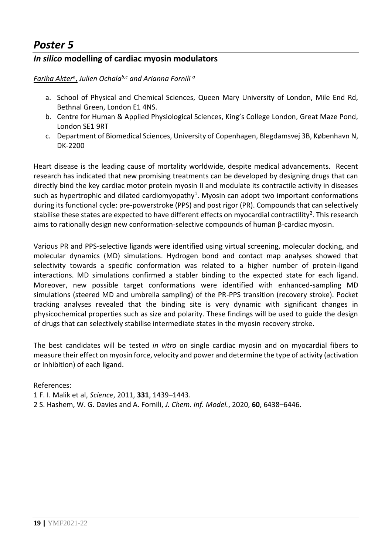### *In silico* **modelling of cardiac myosin modulators**

*Fariha Akter*<sup>a</sup> , *Julien Ochalab,c and Arianna Fornili <sup>a</sup>*

- a. School of Physical and Chemical Sciences, Queen Mary University of London, Mile End Rd, Bethnal Green, London E1 4NS.
- b. Centre for Human & Applied Physiological Sciences, King's College London, Great Maze Pond, London SE1 9RT
- c. Department of Biomedical Sciences, University of Copenhagen, Blegdamsvej 3B, København N, DK-2200

Heart disease is the leading cause of mortality worldwide, despite medical advancements. Recent research has indicated that new promising treatments can be developed by designing drugs that can directly bind the key cardiac motor protein myosin II and modulate its contractile activity in diseases such as hypertrophic and dilated cardiomyopathy<sup>1</sup>. Myosin can adopt two important conformations during its functional cycle: pre-powerstroke (PPS) and post rigor (PR). Compounds that can selectively stabilise these states are expected to have different effects on myocardial contractility<sup>2</sup>. This research aims to rationally design new conformation-selective compounds of human β-cardiac myosin.

Various PR and PPS-selective ligands were identified using virtual screening, molecular docking, and molecular dynamics (MD) simulations. Hydrogen bond and contact map analyses showed that selectivity towards a specific conformation was related to a higher number of protein-ligand interactions. MD simulations confirmed a stabler binding to the expected state for each ligand. Moreover, new possible target conformations were identified with enhanced-sampling MD simulations (steered MD and umbrella sampling) of the PR-PPS transition (recovery stroke). Pocket tracking analyses revealed that the binding site is very dynamic with significant changes in physicochemical properties such as size and polarity. These findings will be used to guide the design of drugs that can selectively stabilise intermediate states in the myosin recovery stroke.

The best candidates will be tested *in vitro* on single cardiac myosin and on myocardial fibers to measure their effect on myosin force, velocity and power and determine the type of activity (activation or inhibition) of each ligand.

References:

1 F. I. Malik et al, *Science*, 2011, **331**, 1439–1443.

2 S. Hashem, W. G. Davies and A. Fornili, *J. Chem. Inf. Model.*, 2020, **60**, 6438–6446.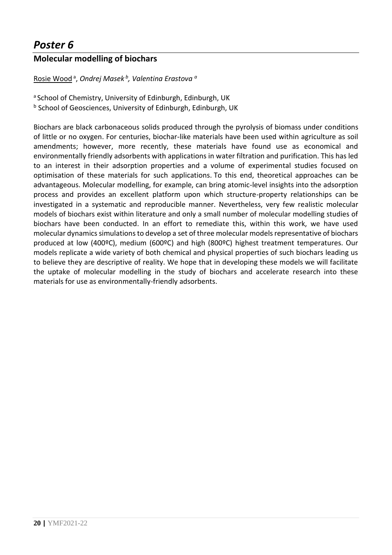### **Molecular modelling of biochars**

#### Rosie Wood <sup>a</sup> , *Ondrej Masek <sup>b</sup> , Valentina Erastova <sup>a</sup>*

a School of Chemistry, University of Edinburgh, Edinburgh, UK b School of Geosciences, University of Edinburgh, Edinburgh, UK

Biochars are black carbonaceous solids produced through the pyrolysis of biomass under conditions of little or no oxygen. For centuries, biochar-like materials have been used within agriculture as soil amendments; however, more recently, these materials have found use as economical and environmentally friendly adsorbents with applications in water filtration and purification. This has led to an interest in their adsorption properties and a volume of experimental studies focused on optimisation of these materials for such applications. To this end, theoretical approaches can be advantageous. Molecular modelling, for example, can bring atomic-level insights into the adsorption process and provides an excellent platform upon which structure-property relationships can be investigated in a systematic and reproducible manner. Nevertheless, very few realistic molecular models of biochars exist within literature and only a small number of molecular modelling studies of biochars have been conducted. In an effort to remediate this, within this work, we have used molecular dynamics simulations to develop a set of three molecular models representative of biochars produced at low (400ºC), medium (600ºC) and high (800ºC) highest treatment temperatures. Our models replicate a wide variety of both chemical and physical properties of such biochars leading us to believe they are descriptive of reality. We hope that in developing these models we will facilitate the uptake of molecular modelling in the study of biochars and accelerate research into these materials for use as environmentally-friendly adsorbents.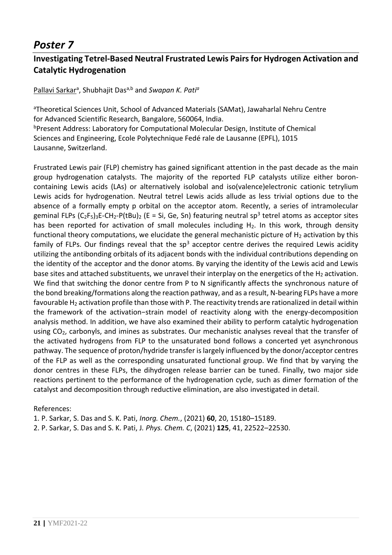### **Investigating Tetrel-Based Neutral Frustrated Lewis Pairs for Hydrogen Activation and Catalytic Hydrogenation**

#### Pallavi Sarkar<sup>a</sup> , Shubhajit Dasa,b and *Swapan K. Pati<sup>a</sup>*

<sup>a</sup>Theoretical Sciences Unit, School of Advanced Materials (SAMat), Jawaharlal Nehru Centre for Advanced Scientific Research, Bangalore, 560064, India. bPresent Address: Laboratory for Computational Molecular Design, Institute of Chemical Sciences and Engineering, Ecole Polytechnique Fedé rale de Lausanne (EPFL), 1015 Lausanne, Switzerland.

Frustrated Lewis pair (FLP) chemistry has gained significant attention in the past decade as the main group hydrogenation catalysts. The majority of the reported FLP catalysts utilize either boroncontaining Lewis acids (LAs) or alternatively isolobal and iso(valence)electronic cationic tetrylium Lewis acids for hydrogenation. Neutral tetrel Lewis acids allude as less trivial options due to the absence of a formally empty p orbital on the acceptor atom. Recently, a series of intramolecular geminal FLPs  $(C_2F_5)_3E$ -CH<sub>2</sub>-P(tBu)<sub>2</sub> (E = Si, Ge, Sn) featuring neutral sp<sup>3</sup> tetrel atoms as acceptor sites has been reported for activation of small molecules including  $H_2$ . In this work, through density functional theory computations, we elucidate the general mechanistic picture of  $H_2$  activation by this family of FLPs. Our findings reveal that the  $sp<sup>3</sup>$  acceptor centre derives the required Lewis acidity utilizing the antibonding orbitals of its adjacent bonds with the individual contributions depending on the identity of the acceptor and the donor atoms. By varying the identity of the Lewis acid and Lewis base sites and attached substituents, we unravel their interplay on the energetics of the  $H_2$  activation. We find that switching the donor centre from P to N significantly affects the synchronous nature of the bond breaking/formations along the reaction pathway, and as a result, N-bearing FLPs have a more favourable H<sup>2</sup> activation profile than those with P. The reactivity trends are rationalized in detail within the framework of the activation−strain model of reactivity along with the energy-decomposition analysis method. In addition, we have also examined their ability to perform catalytic hydrogenation using CO<sub>2</sub>, carbonyls, and imines as substrates. Our mechanistic analyses reveal that the transfer of the activated hydrogens from FLP to the unsaturated bond follows a concerted yet asynchronous pathway. The sequence of proton/hydride transfer is largely influenced by the donor/acceptor centres of the FLP as well as the corresponding unsaturated functional group. We find that by varying the donor centres in these FLPs, the dihydrogen release barrier can be tuned. Finally, two major side reactions pertinent to the performance of the hydrogenation cycle, such as dimer formation of the catalyst and decomposition through reductive elimination, are also investigated in detail.

References:

1. P. Sarkar, S. Das and S. K. Pati, *Inorg. Chem.*, (2021) **60**, 20, 15180–15189.

2. P. Sarkar, S. Das and S. K. Pati, J*. Phys. Chem. C*, (2021) **125**, 41, 22522–22530.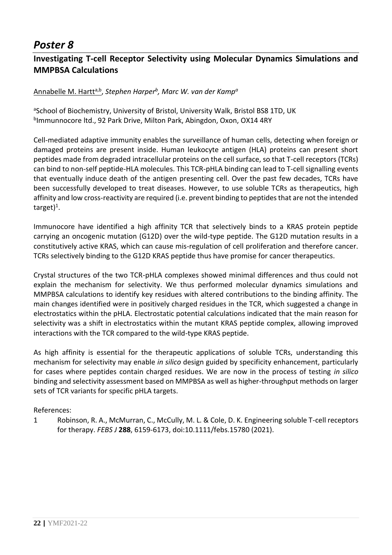### **Investigating T-cell Receptor Selectivity using Molecular Dynamics Simulations and MMPBSA Calculations**

#### Annabelle M. Hartta,b , *Stephen Harper<sup>b</sup> , Marc W. van der Kamp<sup>a</sup>*

aSchool of Biochemistry, University of Bristol, University Walk, Bristol BS8 1TD, UK b Immunnocore ltd., 92 Park Drive, Milton Park, Abingdon, Oxon, OX14 4RY

Cell-mediated adaptive immunity enables the surveillance of human cells, detecting when foreign or damaged proteins are present inside. Human leukocyte antigen (HLA) proteins can present short peptides made from degraded intracellular proteins on the cell surface, so that T-cell receptors (TCRs) can bind to non-self peptide-HLA molecules. This TCR-pHLA binding can lead to T-cell signalling events that eventually induce death of the antigen presenting cell. Over the past few decades, TCRs have been successfully developed to treat diseases. However, to use soluble TCRs as therapeutics, high affinity and low cross-reactivity are required (i.e. prevent binding to peptides that are not the intended target)<sup>1</sup>.

Immunocore have identified a high affinity TCR that selectively binds to a KRAS protein peptide carrying an oncogenic mutation (G12D) over the wild-type peptide. The G12D mutation results in a constitutively active KRAS, which can cause mis-regulation of cell proliferation and therefore cancer. TCRs selectively binding to the G12D KRAS peptide thus have promise for cancer therapeutics.

Crystal structures of the two TCR-pHLA complexes showed minimal differences and thus could not explain the mechanism for selectivity. We thus performed molecular dynamics simulations and MMPBSA calculations to identify key residues with altered contributions to the binding affinity. The main changes identified were in positively charged residues in the TCR, which suggested a change in electrostatics within the pHLA. Electrostatic potential calculations indicated that the main reason for selectivity was a shift in electrostatics within the mutant KRAS peptide complex, allowing improved interactions with the TCR compared to the wild-type KRAS peptide.

As high affinity is essential for the therapeutic applications of soluble TCRs, understanding this mechanism for selectivity may enable *in silico* design guided by specificity enhancement, particularly for cases where peptides contain charged residues. We are now in the process of testing *in silico* binding and selectivity assessment based on MMPBSA as well as higher-throughput methods on larger sets of TCR variants for specific pHLA targets.

#### References:

1 Robinson, R. A., McMurran, C., McCully, M. L. & Cole, D. K. Engineering soluble T-cell receptors for therapy. *FEBS J* **288**, 6159-6173, doi:10.1111/febs.15780 (2021).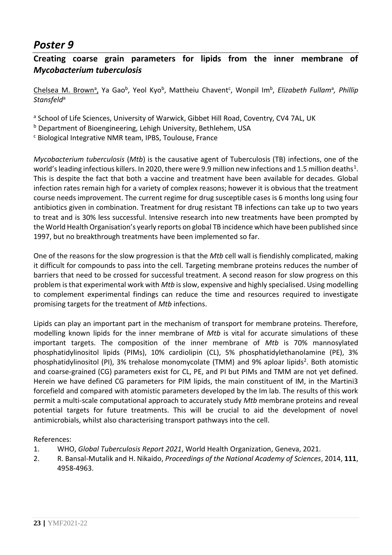### **Creating coarse grain parameters for lipids from the inner membrane of**  *Mycobacterium tuberculosis*

Chelsea M. Brown<sup>a</sup>, Ya Gao<sup>b</sup>, Yeol Kyo<sup>b</sup>, Mattheiu Chavent<sup>c</sup>, Wonpil Im<sup>b</sup>, *Elizabeth Fullam<sup>a</sup>, Phillip Stansfeld*<sup>a</sup>

a School of Life Sciences, University of Warwick, Gibbet Hill Road, Coventry, CV4 7AL, UK

b Department of Bioengineering, Lehigh University, Bethlehem, USA

<sup>c</sup> Biological Integrative NMR team, IPBS, Toulouse, France

*Mycobacterium tuberculosis* (*Mtb*) is the causative agent of Tuberculosis (TB) infections, one of the world's leading infectious killers. In 2020, there were 9.9 million new infections and 1.5 million deaths<sup>1</sup>. This is despite the fact that both a vaccine and treatment have been available for decades. Global infection rates remain high for a variety of complex reasons; however it is obvious that the treatment course needs improvement. The current regime for drug susceptible cases is 6 months long using four antibiotics given in combination. Treatment for drug resistant TB infections can take up to two years to treat and is 30% less successful. Intensive research into new treatments have been prompted by the World Health Organisation's yearly reports on global TB incidence which have been published since 1997, but no breakthrough treatments have been implemented so far.

One of the reasons for the slow progression is that the *Mtb* cell wall is fiendishly complicated, making it difficult for compounds to pass into the cell. Targeting membrane proteins reduces the number of barriers that need to be crossed for successful treatment. A second reason for slow progress on this problem is that experimental work with *Mtb* is slow, expensive and highly specialised. Using modelling to complement experimental findings can reduce the time and resources required to investigate promising targets for the treatment of *Mtb* infections.

Lipids can play an important part in the mechanism of transport for membrane proteins. Therefore, modelling known lipids for the inner membrane of *Mtb* is vital for accurate simulations of these important targets. The composition of the inner membrane of *Mtb* is 70% mannosylated phosphatidylinositol lipids (PIMs), 10% cardiolipin (CL), 5% phosphatidylethanolamine (PE), 3% phosphatidylinositol (PI), 3% trehalose monomycolate (TMM) and 9% aploar lipids<sup>2</sup>. Both atomistic and coarse-grained (CG) parameters exist for CL, PE, and PI but PIMs and TMM are not yet defined. Herein we have defined CG parameters for PIM lipids, the main constituent of IM, in the Martini3 forcefield and compared with atomistic parameters developed by the Im lab. The results of this work permit a multi-scale computational approach to accurately study *Mtb* membrane proteins and reveal potential targets for future treatments. This will be crucial to aid the development of novel antimicrobials, whilst also characterising transport pathways into the cell.

- 1. WHO, *Global Tuberculosis Report 2021*, World Health Organization, Geneva, 2021.
- 2. R. Bansal-Mutalik and H. Nikaido, *Proceedings of the National Academy of Sciences*, 2014, **111**, 4958-4963.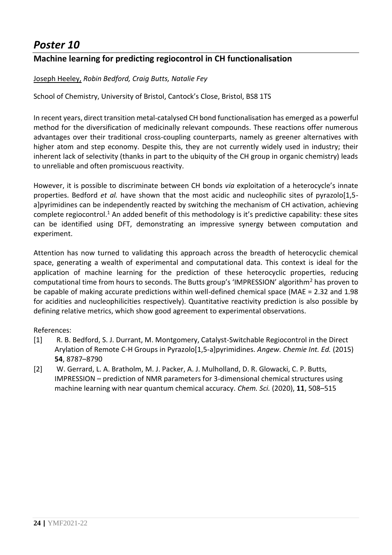### **Machine learning for predicting regiocontrol in CH functionalisation**

#### Joseph Heeley, *Robin Bedford, Craig Butts, Natalie Fey*

School of Chemistry, University of Bristol, Cantock's Close, Bristol, BS8 1TS

In recent years, direct transition metal-catalysed CH bond functionalisation has emerged as a powerful method for the diversification of medicinally relevant compounds. These reactions offer numerous advantages over their traditional cross-coupling counterparts, namely as greener alternatives with higher atom and step economy. Despite this, they are not currently widely used in industry; their inherent lack of selectivity (thanks in part to the ubiquity of the CH group in organic chemistry) leads to unreliable and often promiscuous reactivity.

However, it is possible to discriminate between CH bonds *via* exploitation of a heterocycle's innate properties. Bedford *et al.* have shown that the most acidic and nucleophilic sites of pyrazolo[1,5 a]pyrimidines can be independently reacted by switching the mechanism of CH activation, achieving complete regiocontrol.<sup>1</sup> An added benefit of this methodology is it's predictive capability: these sites can be identified using DFT, demonstrating an impressive synergy between computation and experiment.

Attention has now turned to validating this approach across the breadth of heterocyclic chemical space, generating a wealth of experimental and computational data. This context is ideal for the application of machine learning for the prediction of these heterocyclic properties, reducing computational time from hours to seconds. The Butts group's 'IMPRESSION' algorithm<sup>2</sup> has proven to be capable of making accurate predictions within well-defined chemical space (MAE = 2.32 and 1.98 for acidities and nucleophilicities respectively). Quantitative reactivity prediction is also possible by defining relative metrics, which show good agreement to experimental observations.

- [1] R. B. Bedford, S. J. Durrant, M. Montgomery, Catalyst-Switchable Regiocontrol in the Direct Arylation of Remote C-H Groups in Pyrazolo[1,5-a]pyrimidines. *Angew. Chemie Int. Ed.* (2015) **54**, 8787–8790
- [2] W. Gerrard, L. A. Bratholm, M. J. Packer, A. J. Mulholland, D. R. Glowacki, C. P. Butts, IMPRESSION – prediction of NMR parameters for 3-dimensional chemical structures using machine learning with near quantum chemical accuracy. *Chem. Sci.* (2020), **11**, 508–515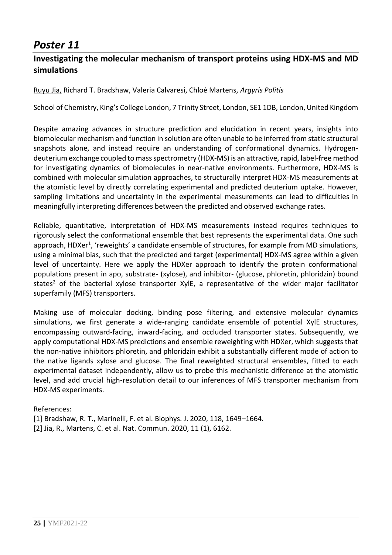### **Investigating the molecular mechanism of transport proteins using HDX-MS and MD simulations**

Ruyu Jia, Richard T. Bradshaw, Valeria Calvaresi, Chloé Martens, *Argyris Politis*

School of Chemistry, King's College London, 7 Trinity Street, London, SE1 1DB, London, United Kingdom

Despite amazing advances in structure prediction and elucidation in recent years, insights into biomolecular mechanism and function in solution are often unable to be inferred from static structural snapshots alone, and instead require an understanding of conformational dynamics. Hydrogendeuterium exchange coupled to mass spectrometry (HDX-MS) is an attractive, rapid, label-free method for investigating dynamics of biomolecules in near-native environments. Furthermore, HDX-MS is combined with molecular simulation approaches, to structurally interpret HDX-MS measurements at the atomistic level by directly correlating experimental and predicted deuterium uptake. However, sampling limitations and uncertainty in the experimental measurements can lead to difficulties in meaningfully interpreting differences between the predicted and observed exchange rates.

Reliable, quantitative, interpretation of HDX-MS measurements instead requires techniques to rigorously select the conformational ensemble that best represents the experimental data. One such approach, HDXer<sup>1</sup>, 'reweights' a candidate ensemble of structures, for example from MD simulations, using a minimal bias, such that the predicted and target (experimental) HDX-MS agree within a given level of uncertainty. Here we apply the HDXer approach to identify the protein conformational populations present in apo, substrate- (xylose), and inhibitor- (glucose, phloretin, phloridzin) bound states<sup>2</sup> of the bacterial xylose transporter XylE, a representative of the wider major facilitator superfamily (MFS) transporters.

Making use of molecular docking, binding pose filtering, and extensive molecular dynamics simulations, we first generate a wide-ranging candidate ensemble of potential XylE structures, encompassing outward-facing, inward-facing, and occluded transporter states. Subsequently, we apply computational HDX-MS predictions and ensemble reweighting with HDXer, which suggests that the non-native inhibitors phloretin, and phloridzin exhibit a substantially different mode of action to the native ligands xylose and glucose. The final reweighted structural ensembles, fitted to each experimental dataset independently, allow us to probe this mechanistic difference at the atomistic level, and add crucial high-resolution detail to our inferences of MFS transporter mechanism from HDX-MS experiments.

- [1] Bradshaw, R. T., Marinelli, F. et al. Biophys. J. 2020, 118, 1649–1664.
- [2] Jia, R., Martens, C. et al. Nat. Commun. 2020, 11 (1), 6162.